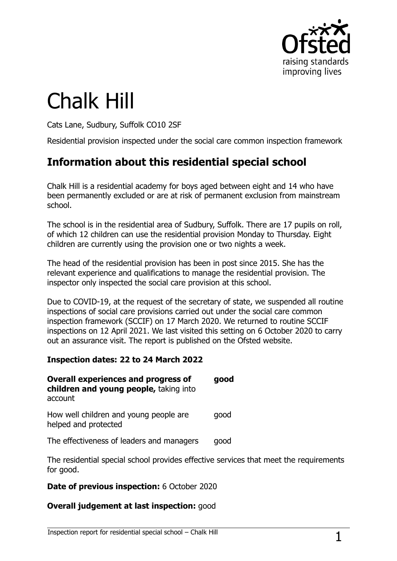

# Chalk Hill

Cats Lane, Sudbury, Suffolk CO10 2SF

Residential provision inspected under the social care common inspection framework

# **Information about this residential special school**

Chalk Hill is a residential academy for boys aged between eight and 14 who have been permanently excluded or are at risk of permanent exclusion from mainstream school.

The school is in the residential area of Sudbury, Suffolk. There are 17 pupils on roll, of which 12 children can use the residential provision Monday to Thursday. Eight children are currently using the provision one or two nights a week.

The head of the residential provision has been in post since 2015. She has the relevant experience and qualifications to manage the residential provision. The inspector only inspected the social care provision at this school.

Due to COVID-19, at the request of the secretary of state, we suspended all routine inspections of social care provisions carried out under the social care common inspection framework (SCCIF) on 17 March 2020. We returned to routine SCCIF inspections on 12 April 2021. We last visited this setting on 6 October 2020 to carry out an assurance visit. The report is published on the Ofsted website.

#### **Inspection dates: 22 to 24 March 2022**

| <b>Overall experiences and progress of</b><br>children and young people, taking into<br>account | good |
|-------------------------------------------------------------------------------------------------|------|
| How well children and young people are<br>helped and protected                                  | good |

The effectiveness of leaders and managers good

The residential special school provides effective services that meet the requirements for good.

#### **Date of previous inspection:** 6 October 2020

#### **Overall judgement at last inspection:** good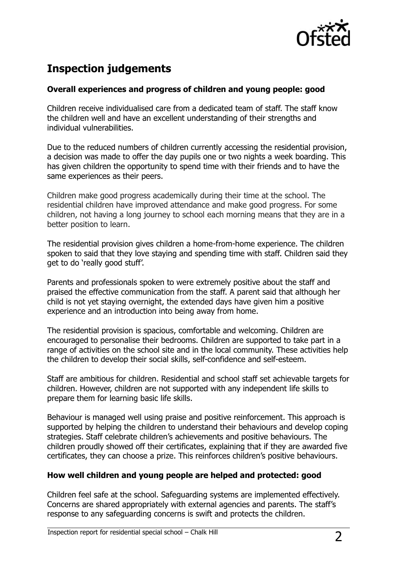

## **Inspection judgements**

#### **Overall experiences and progress of children and young people: good**

Children receive individualised care from a dedicated team of staff. The staff know the children well and have an excellent understanding of their strengths and individual vulnerabilities.

Due to the reduced numbers of children currently accessing the residential provision, a decision was made to offer the day pupils one or two nights a week boarding. This has given children the opportunity to spend time with their friends and to have the same experiences as their peers.

Children make good progress academically during their time at the school. The residential children have improved attendance and make good progress. For some children, not having a long journey to school each morning means that they are in a better position to learn.

The residential provision gives children a home-from-home experience. The children spoken to said that they love staying and spending time with staff. Children said they get to do 'really good stuff'.

Parents and professionals spoken to were extremely positive about the staff and praised the effective communication from the staff. A parent said that although her child is not yet staying overnight, the extended days have given him a positive experience and an introduction into being away from home.

The residential provision is spacious, comfortable and welcoming. Children are encouraged to personalise their bedrooms. Children are supported to take part in a range of activities on the school site and in the local community. These activities help the children to develop their social skills, self-confidence and self-esteem.

Staff are ambitious for children. Residential and school staff set achievable targets for children. However, children are not supported with any independent life skills to prepare them for learning basic life skills.

Behaviour is managed well using praise and positive reinforcement. This approach is supported by helping the children to understand their behaviours and develop coping strategies. Staff celebrate children's achievements and positive behaviours. The children proudly showed off their certificates, explaining that if they are awarded five certificates, they can choose a prize. This reinforces children's positive behaviours.

#### **How well children and young people are helped and protected: good**

Children feel safe at the school. Safeguarding systems are implemented effectively. Concerns are shared appropriately with external agencies and parents. The staff's response to any safeguarding concerns is swift and protects the children.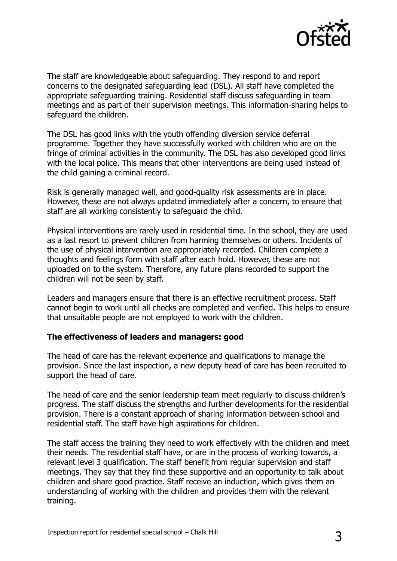

The staff are knowledgeable about safeguarding. They respond to and report concerns to the designated safeguarding lead (DSL). All staff have completed the appropriate safeguarding training. Residential staff discuss safeguarding in team meetings and as part of their supervision meetings. This information-sharing helps to safeguard the children.

The DSL has good links with the youth offending diversion service deferral programme. Together they have successfully worked with children who are on the fringe of criminal activities in the community. The DSL has also developed good links with the local police. This means that other interventions are being used instead of the child gaining a criminal record.

Risk is generally managed well, and good-quality risk assessments are in place. However, these are not always updated immediately after a concern, to ensure that staff are all working consistently to safeguard the child.

Physical interventions are rarely used in residential time. In the school, they are used as a last resort to prevent children from harming themselves or others. Incidents of the use of physical intervention are appropriately recorded. Children complete a thoughts and feelings form with staff after each hold. However, these are not uploaded on to the system. Therefore, any future plans recorded to support the children will not be seen by staff.

Leaders and managers ensure that there is an effective recruitment process. Staff cannot begin to work until all checks are completed and verified. This helps to ensure that unsuitable people are not employed to work with the children.

#### **The effectiveness of leaders and managers: good**

The head of care has the relevant experience and qualifications to manage the provision. Since the last inspection, a new deputy head of care has been recruited to support the head of care.

The head of care and the senior leadership team meet regularly to discuss children's progress. The staff discuss the strengths and further developments for the residential provision. There is a constant approach of sharing information between school and residential staff. The staff have high aspirations for children.

The staff access the training they need to work effectively with the children and meet their needs. The residential staff have, or are in the process of working towards, a relevant level 3 qualification. The staff benefit from regular supervision and staff meetings. They say that they find these supportive and an opportunity to talk about children and share good practice. Staff receive an induction, which gives them an understanding of working with the children and provides them with the relevant training.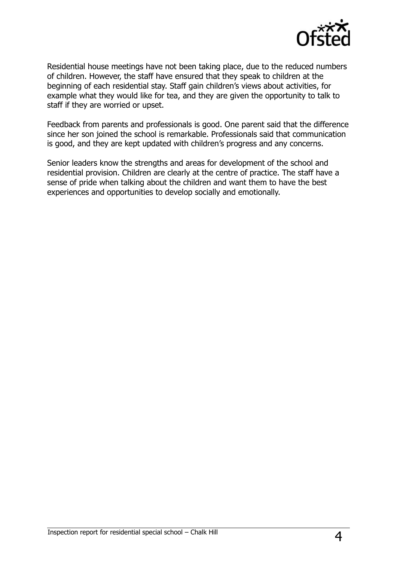

Residential house meetings have not been taking place, due to the reduced numbers of children. However, the staff have ensured that they speak to children at the beginning of each residential stay. Staff gain children's views about activities, for example what they would like for tea, and they are given the opportunity to talk to staff if they are worried or upset.

Feedback from parents and professionals is good. One parent said that the difference since her son joined the school is remarkable. Professionals said that communication is good, and they are kept updated with children's progress and any concerns.

Senior leaders know the strengths and areas for development of the school and residential provision. Children are clearly at the centre of practice. The staff have a sense of pride when talking about the children and want them to have the best experiences and opportunities to develop socially and emotionally.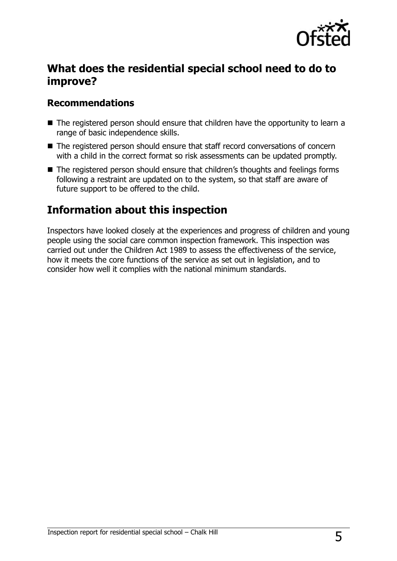

## **What does the residential special school need to do to improve?**

#### **Recommendations**

- The registered person should ensure that children have the opportunity to learn a range of basic independence skills.
- The registered person should ensure that staff record conversations of concern with a child in the correct format so risk assessments can be updated promptly.
- The registered person should ensure that children's thoughts and feelings forms following a restraint are updated on to the system, so that staff are aware of future support to be offered to the child.

## **Information about this inspection**

Inspectors have looked closely at the experiences and progress of children and young people using the social care common inspection framework. This inspection was carried out under the Children Act 1989 to assess the effectiveness of the service, how it meets the core functions of the service as set out in legislation, and to consider how well it complies with the national minimum standards.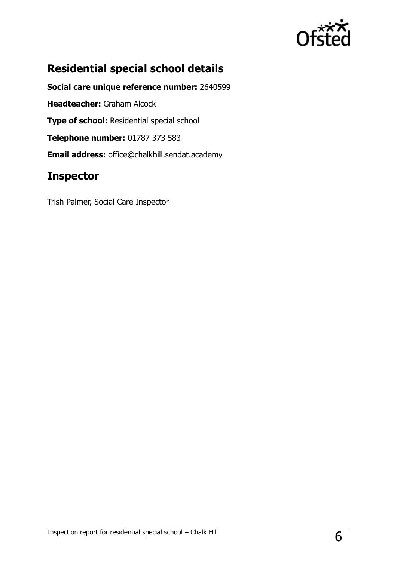

# **Residential special school details**

**Social care unique reference number:** 2640599 **Headteacher:** Graham Alcock **Type of school: Residential special school Telephone number:** 01787 373 583 **Email address:** office@chalkhill.sendat.academy

## **Inspector**

Trish Palmer, Social Care Inspector